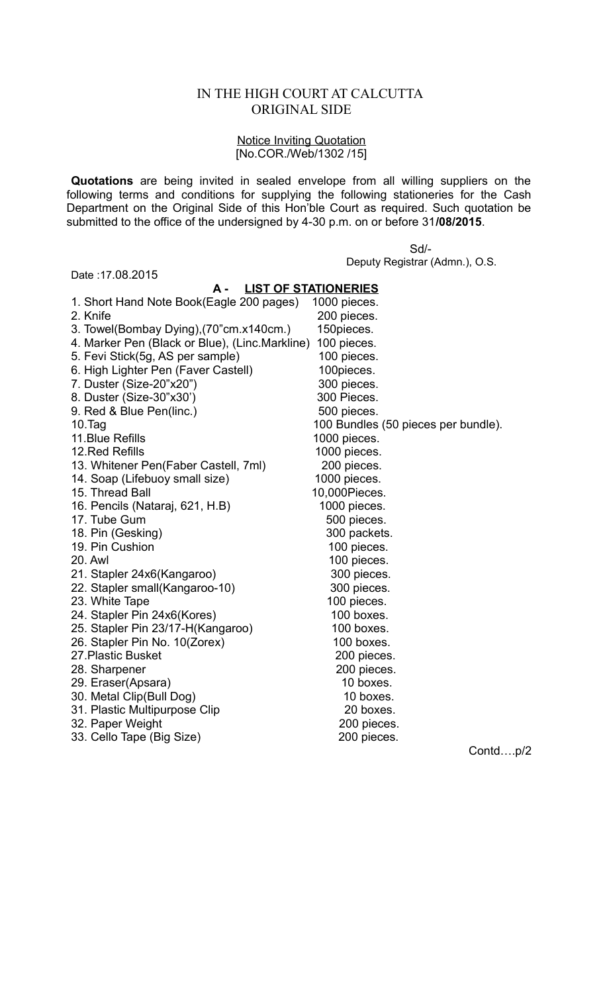## IN THE HIGH COURT AT CALCUTTA ORIGINAL SIDE

## Notice Inviting Quotation [No.COR./Web/1302 /15]

**Quotations** are being invited in sealed envelope from all willing suppliers on the following terms and conditions for supplying the following stationeries for the Cash Department on the Original Side of this Hon'ble Court as required. Such quotation be submitted to the office of the undersigned by 4-30 p.m. on or before 31**/08/2015**.

> Sd/- Deputy Registrar (Admn.), O.S.

| Date: 17.08.2015                               |                                           |
|------------------------------------------------|-------------------------------------------|
| <b>LIST OF STATIONERIES</b><br>А -             |                                           |
| 1. Short Hand Note Book(Eagle 200 pages)       | 1000 pieces.                              |
| 2. Knife                                       | 200 pieces.                               |
| 3. Towel(Bombay Dying), (70"cm.x140cm.)        | 150pieces.                                |
| 4. Marker Pen (Black or Blue), (Linc.Markline) | 100 pieces.                               |
| 5. Fevi Stick(5g, AS per sample)               | 100 pieces.                               |
| 6. High Lighter Pen (Faver Castell)            | 100pieces.                                |
| 7. Duster (Size-20"x20")                       | 300 pieces.                               |
| 8. Duster (Size-30"x30')                       | 300 Pieces.                               |
| 9. Red & Blue Pen(linc.)                       | 500 pieces.                               |
| $10.$ Tag                                      | 100 Bundles (50 pieces per bundle).       |
| 11. Blue Refills                               | 1000 pieces.                              |
| 12. Red Refills                                | 1000 pieces.                              |
| 13. Whitener Pen(Faber Castell, 7ml)           | 200 pieces.                               |
| 14. Soap (Lifebuoy small size)                 | 1000 pieces.                              |
| 15. Thread Ball                                | 10,000Pieces.                             |
| 16. Pencils (Nataraj, 621, H.B)                | 1000 pieces.                              |
| 17. Tube Gum                                   | 500 pieces.                               |
| 18. Pin (Gesking)                              | 300 packets.                              |
| 19. Pin Cushion                                | 100 pieces.                               |
| 20. Awl                                        | 100 pieces.                               |
| 21. Stapler 24x6(Kangaroo)                     | 300 pieces.                               |
| 22. Stapler small(Kangaroo-10)                 | 300 pieces.                               |
| 23. White Tape                                 | 100 pieces.                               |
| 24. Stapler Pin 24x6(Kores)                    | 100 boxes.                                |
| 25. Stapler Pin 23/17-H(Kangaroo)              | 100 boxes.                                |
| 26. Stapler Pin No. 10(Zorex)                  | 100 boxes.                                |
| 27. Plastic Busket                             | 200 pieces.                               |
| 28. Sharpener                                  | 200 pieces.                               |
| 29. Eraser(Apsara)                             | 10 boxes.                                 |
| 30. Metal Clip(Bull Dog)                       | 10 boxes.                                 |
| 31. Plastic Multipurpose Clip                  | 20 boxes.                                 |
| 32. Paper Weight                               | 200 pieces.                               |
| 33. Cello Tape (Big Size)                      | 200 pieces.                               |
|                                                | $\sim$ $\sim$ $\sim$ $\sim$ $\sim$ $\sim$ |

Contd….p/2